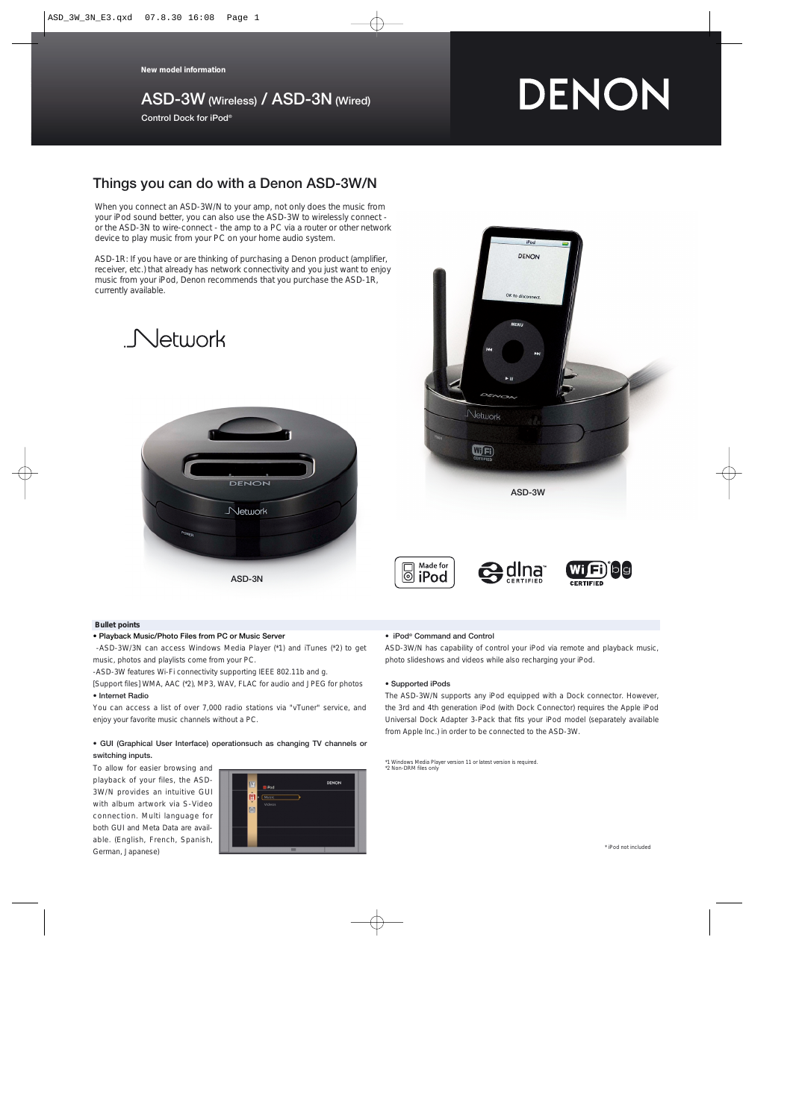**New model information**

# **ASD-3W (Wireless) / ASD-3N (Wired)**

**Control Dock for iPod®**

# DENON

# **Things you can do with a Denon ASD-3W/N**

When you connect an ASD-3W/N to your amp, not only does the music from your iPod sound better, you can also use the ASD-3W to wirelessly connect or the ASD-3N to wire-connect - the amp to a PC via a router or other network device to play music from your PC on your home audio system.

ASD-1R: If you have or are thinking of purchasing a Denon product (amplifier, receiver, etc.) that already has network connectivity and you just want to enjoy music from your iPod, Denon recommends that you purchase the ASD-1R, currently available.





# **Bullet points**

#### **• Playback Music/Photo Files from PC or Music Server**

-ASD-3W/3N can access Windows Media Player (\*1) and iTunes (\*2) to get music, photos and playlists come from your PC.

-ASD-3W features Wi-Fi connectivity supporting IEEE 802.11b and g.

[Support files] WMA, AAC (\*2), MP3, WAV, FLAC for audio and JPEG for photos **• Internet Radio**

You can access a list of over 7,000 radio stations via "vTuner" service, and enjoy your favorite music channels without a PC.

#### **• GUI (Graphical User Interface) operationsuch as changing TV channels or switching inputs.**

To allow for easier browsing and playback of your files, the ASD-3W/N provides an intuitive GUI with album artwork via S-Video connection. Multi language for both GUI and Meta Data are available. (English, French, Spanish, German, Japanese)



#### **• iPod® Command and Control**

Made for

 $\text{C}$  iPod

ASD-3W/N has capability of control your iPod via remote and playback music, photo slideshows and videos while also recharging your iPod.

**e**dina

#### **• Supported iPods**

The ASD-3W/N supports any iPod equipped with a Dock connector. However, the 3rd and 4th generation iPod (with Dock Connector) requires the Apple iPod Universal Dock Adapter 3-Pack that fits your iPod model (separately available from Apple Inc.) in order to be connected to the ASD-3W.

\*1 Windows Media Player version 11 or latest version is required. \*2 Non-DRM files only